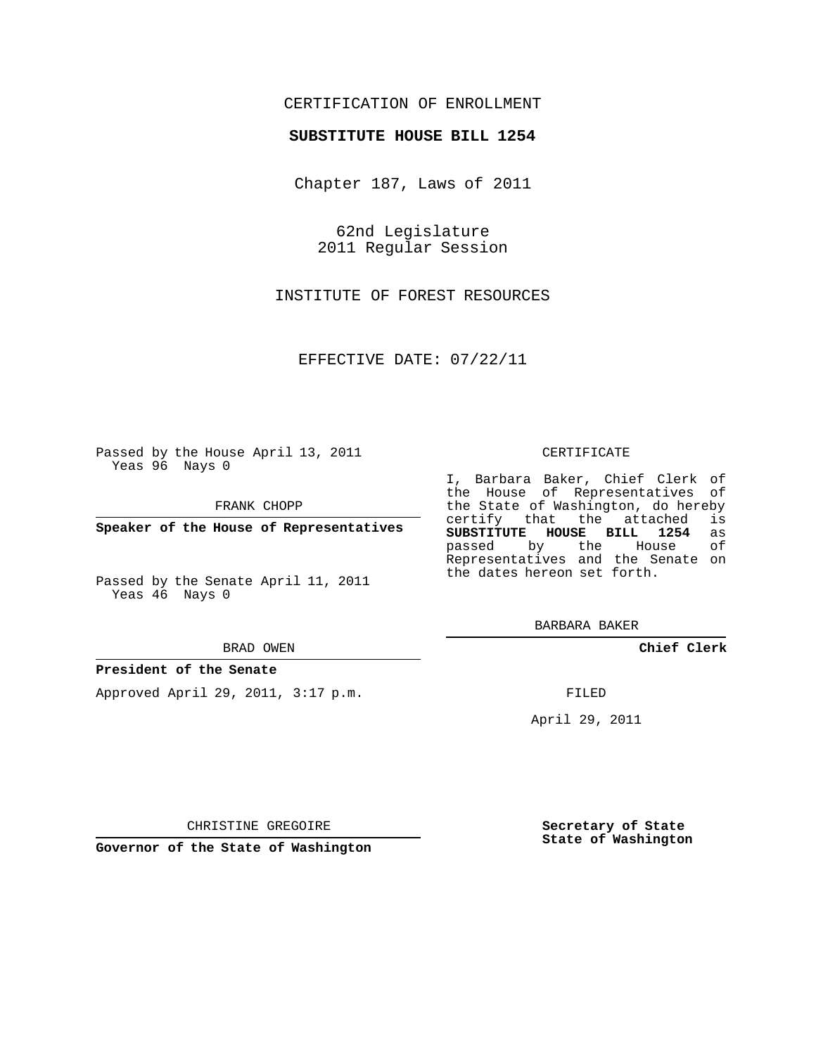# CERTIFICATION OF ENROLLMENT

### **SUBSTITUTE HOUSE BILL 1254**

Chapter 187, Laws of 2011

62nd Legislature 2011 Regular Session

INSTITUTE OF FOREST RESOURCES

EFFECTIVE DATE: 07/22/11

Passed by the House April 13, 2011 Yeas 96 Nays 0

FRANK CHOPP

**Speaker of the House of Representatives**

Passed by the Senate April 11, 2011 Yeas 46 Nays 0

#### BRAD OWEN

#### **President of the Senate**

Approved April 29, 2011, 3:17 p.m.

#### CERTIFICATE

I, Barbara Baker, Chief Clerk of the House of Representatives of the State of Washington, do hereby<br>certify that the attached is certify that the attached **SUBSTITUTE HOUSE BILL 1254** as passed by the Representatives and the Senate on the dates hereon set forth.

BARBARA BAKER

**Chief Clerk**

FILED

April 29, 2011

CHRISTINE GREGOIRE

**Secretary of State State of Washington**

**Governor of the State of Washington**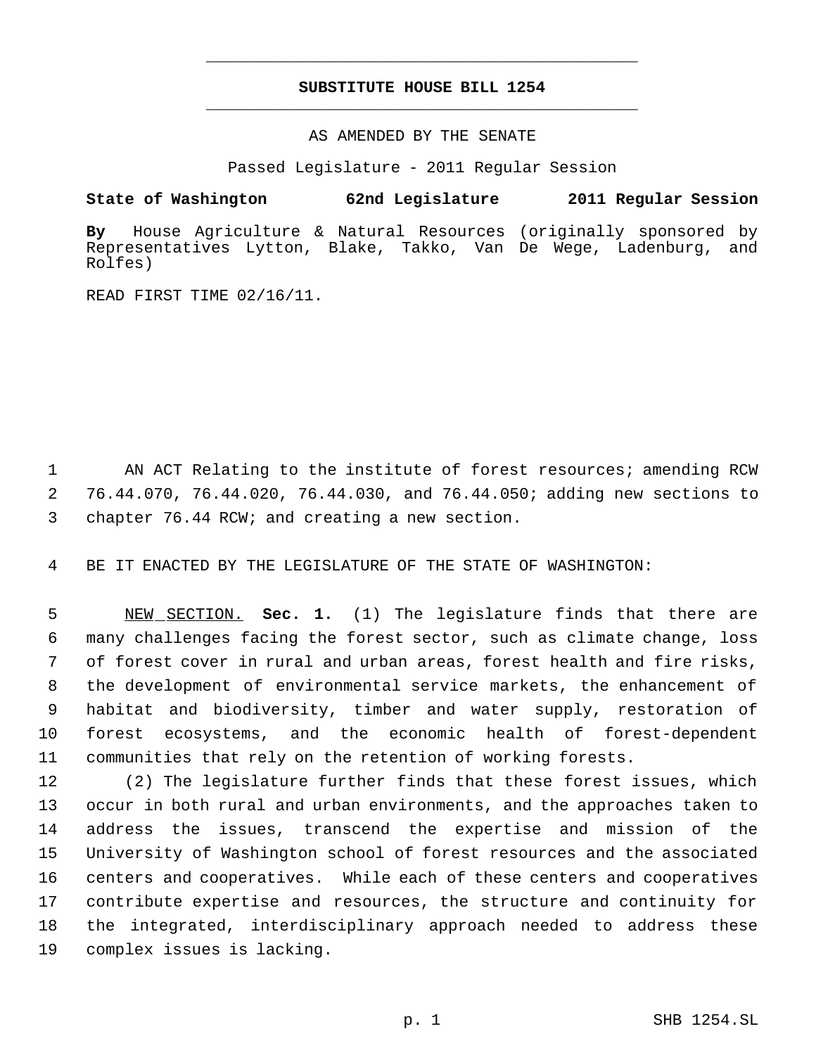# **SUBSTITUTE HOUSE BILL 1254** \_\_\_\_\_\_\_\_\_\_\_\_\_\_\_\_\_\_\_\_\_\_\_\_\_\_\_\_\_\_\_\_\_\_\_\_\_\_\_\_\_\_\_\_\_

\_\_\_\_\_\_\_\_\_\_\_\_\_\_\_\_\_\_\_\_\_\_\_\_\_\_\_\_\_\_\_\_\_\_\_\_\_\_\_\_\_\_\_\_\_

AS AMENDED BY THE SENATE

Passed Legislature - 2011 Regular Session

## **State of Washington 62nd Legislature 2011 Regular Session**

**By** House Agriculture & Natural Resources (originally sponsored by Representatives Lytton, Blake, Takko, Van De Wege, Ladenburg, and Rolfes)

READ FIRST TIME 02/16/11.

1 AN ACT Relating to the institute of forest resources; amending RCW 2 76.44.070, 76.44.020, 76.44.030, and 76.44.050; adding new sections to 3 chapter 76.44 RCW; and creating a new section.

4 BE IT ENACTED BY THE LEGISLATURE OF THE STATE OF WASHINGTON:

 NEW SECTION. **Sec. 1.** (1) The legislature finds that there are many challenges facing the forest sector, such as climate change, loss of forest cover in rural and urban areas, forest health and fire risks, the development of environmental service markets, the enhancement of habitat and biodiversity, timber and water supply, restoration of forest ecosystems, and the economic health of forest-dependent communities that rely on the retention of working forests.

 (2) The legislature further finds that these forest issues, which occur in both rural and urban environments, and the approaches taken to address the issues, transcend the expertise and mission of the University of Washington school of forest resources and the associated centers and cooperatives. While each of these centers and cooperatives contribute expertise and resources, the structure and continuity for the integrated, interdisciplinary approach needed to address these complex issues is lacking.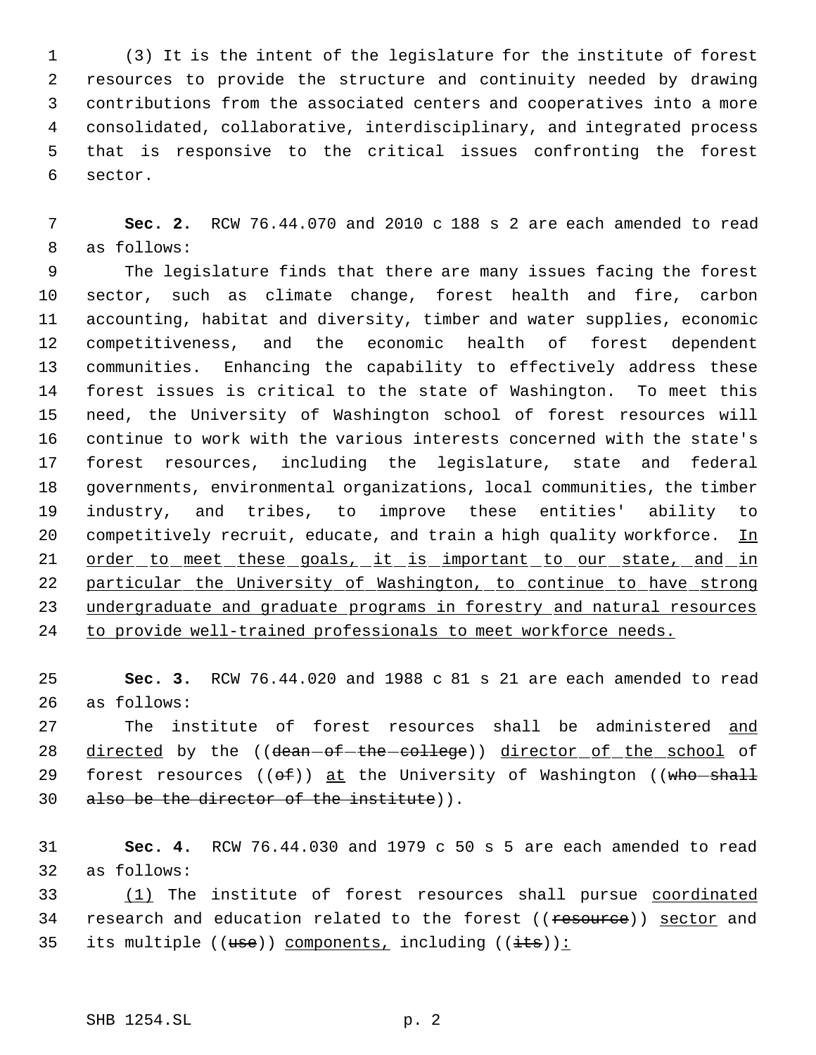(3) It is the intent of the legislature for the institute of forest resources to provide the structure and continuity needed by drawing contributions from the associated centers and cooperatives into a more consolidated, collaborative, interdisciplinary, and integrated process that is responsive to the critical issues confronting the forest sector.

 **Sec. 2.** RCW 76.44.070 and 2010 c 188 s 2 are each amended to read as follows:

 The legislature finds that there are many issues facing the forest sector, such as climate change, forest health and fire, carbon accounting, habitat and diversity, timber and water supplies, economic competitiveness, and the economic health of forest dependent communities. Enhancing the capability to effectively address these forest issues is critical to the state of Washington. To meet this need, the University of Washington school of forest resources will continue to work with the various interests concerned with the state's forest resources, including the legislature, state and federal governments, environmental organizations, local communities, the timber industry, and tribes, to improve these entities' ability to 20 competitively recruit, educate, and train a high quality workforce. In 21 order to meet these goals, it is important to our state, and in particular the University of Washington, to continue to have strong 23 undergraduate and graduate programs in forestry and natural resources to provide well-trained professionals to meet workforce needs.

 **Sec. 3.** RCW 76.44.020 and 1988 c 81 s 21 are each amended to read as follows:

 The institute of forest resources shall be administered and 28 directed by the ((dean-of-the-college)) director of the school of 29 forest resources  $((\theta \oplus f))$  at the University of Washington  $((\text{who}-\text{shall}-\text{em})))$ also be the director of the institute)).

 **Sec. 4.** RCW 76.44.030 and 1979 c 50 s 5 are each amended to read as follows:

 (1) The institute of forest resources shall pursue coordinated 34 research and education related to the forest ((resource)) sector and 35 its multiple  $((use))$  components, including  $((its))$ :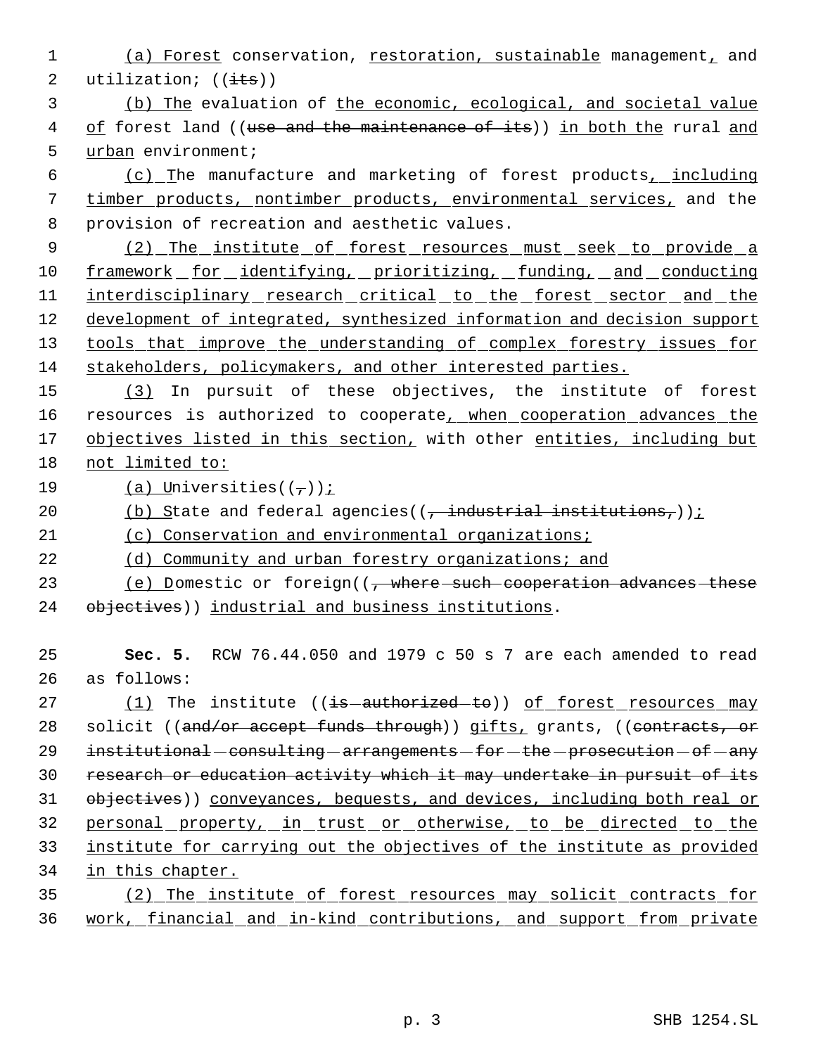1 (a) Forest conservation, restoration, sustainable management, and 2 utilization;  $((\frac{its}{}) )$ 

 3 (b) The evaluation of the economic, ecological, and societal value 4 of forest land ((use and the maintenance of its)) in both the rural and 5 urban environment;

 6 (c) The manufacture and marketing of forest products, including 7 timber products, nontimber products, environmental services, and the 8 provision of recreation and aesthetic values.

9 (2) The institute of forest resources must seek to provide a 10 framework for identifying, prioritizing, funding, and conducting 11 interdisciplinary research critical to the forest sector and the 12 development of integrated, synthesized information and decision support 13 tools that improve the understanding of complex forestry issues for 14 stakeholders, policymakers, and other interested parties.

15 (3) In pursuit of these objectives, the institute of forest 16 resources is authorized to cooperate<sub>L</sub> when cooperation advances the 17 objectives listed in this section, with other entities, including but 18 not limited to:

19 (a) Universities( $(\tau)$ );

20  $\left(\frac{b}{c}\right)$  State and federal agencies((, industrial institutions,));

21 (c) Conservation and environmental organizations;

22 (d) Community and urban forestry organizations; and

23 (e) Domestic or foreign((, where such cooperation advances these 24 objectives)) industrial and business institutions.

25 **Sec. 5.** RCW 76.44.050 and 1979 c 50 s 7 are each amended to read 26 as follows:

27 (1) The institute ((is-authorized-to)) of forest resources may 28 solicit ((and/or accept funds through)) gifts, grants, ((contracts, or  $29$  institutional - consulting - arrangements - for - the - prosecution - of - any 30 research or education activity which it may undertake in pursuit of its 31 objectives)) conveyances, bequests, and devices, including both real or 32 personal property, in trust or otherwise, to be directed to the 33 institute for carrying out the objectives of the institute as provided 34 in this chapter.

35 (2) The institute of forest resources may solicit contracts for 36 work, financial and in-kind contributions, and support from private